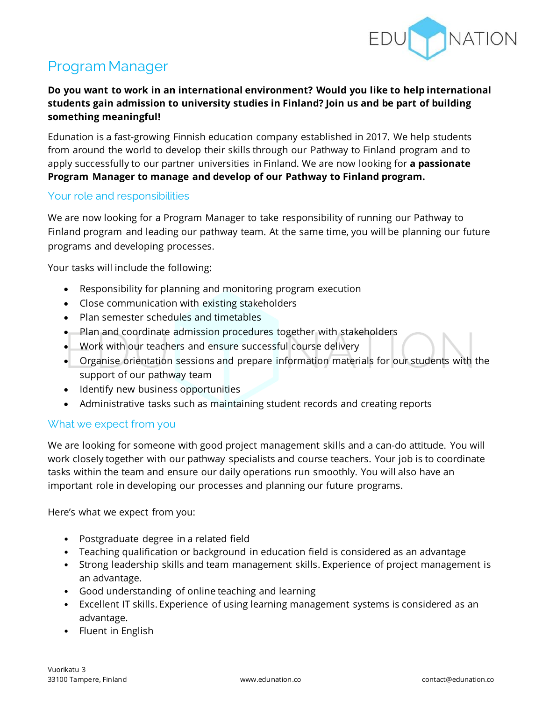

# Program Manager

# **Do you want to work in an international environment? Would you like to help international students gain admission to university studies in Finland? Join us and be part of building something meaningful!**

Edunation is a fast-growing Finnish education company established in 2017. We help students from around the world to develop their skills through our Pathway to Finland program and to apply successfully to our partner universities in Finland. We are now looking for **a passionate Program Manager to manage and develop of our Pathway to Finland program.**

# Your role and responsibilities

We are now looking for a Program Manager to take responsibility of running our Pathway to Finland program and leading our pathway team. At the same time, you will be planning our future programs and developing processes.

Your tasks will include the following:

- Responsibility for planning and monitoring program execution
- Close communication with existing stakeholders
- Plan semester schedules and timetables
- Plan and coordinate admission procedures together with stakeholders
- Work with our teachers and ensure successful course delivery
- Organise orientation sessions and prepare information materials for our students with the support of our pathway team
- Identify new business opportunities
- Administrative tasks such as maintaining student records and creating reports

#### What we expect from you

We are looking for someone with good project management skills and a can-do attitude. You will work closely together with our pathway specialists and course teachers. Your job is to coordinate tasks within the team and ensure our daily operations run smoothly. You will also have an important role in developing our processes and planning our future programs.

Here's what we expect from you:

- Postgraduate degree in a related field
- Teaching qualification or background in education field is considered as an advantage
- Strong leadership skills and team management skills. Experience of project management is an advantage.
- Good understanding of online teaching and learning
- Excellent IT skills. Experience of using learning management systems is considered as an advantage.
- Fluent in English